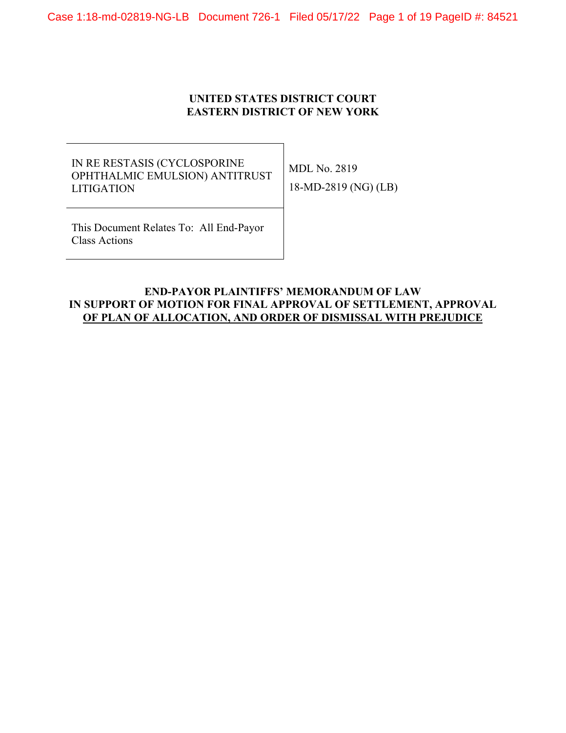Case 1:18-md-02819-NG-LB Document 726-1 Filed 05/17/22 Page 1 of 19 PageID #: 84521

## **UNITED STATES DISTRICT COURT EASTERN DISTRICT OF NEW YORK**

## IN RE RESTASIS (CYCLOSPORINE OPHTHALMIC EMULSION) ANTITRUST LITIGATION

MDL No. 2819 18-MD-2819 (NG) (LB)

This Document Relates To: All End-Payor Class Actions

## **END-PAYOR PLAINTIFFS' MEMORANDUM OF LAW IN SUPPORT OF MOTION FOR FINAL APPROVAL OF SETTLEMENT, APPROVAL OF PLAN OF ALLOCATION, AND ORDER OF DISMISSAL WITH PREJUDICE**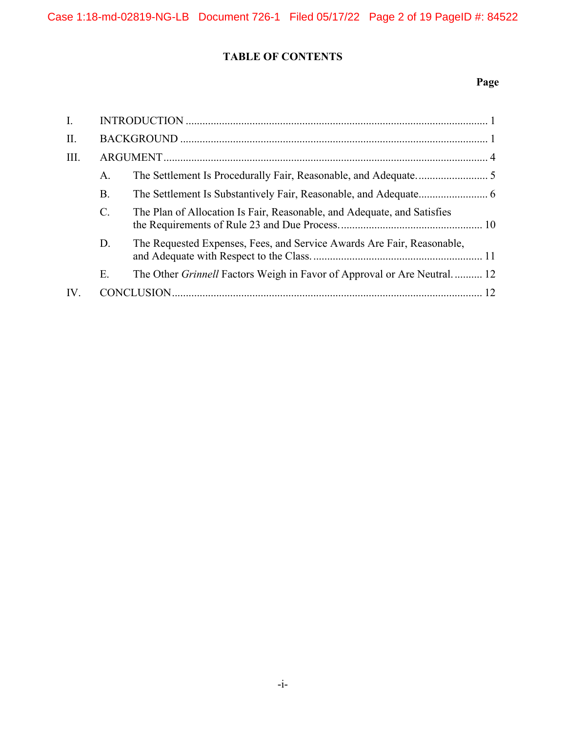# **TABLE OF CONTENTS**

# **Page**

| $\mathbf{I}$ . |                |                                                                                |  |
|----------------|----------------|--------------------------------------------------------------------------------|--|
| $\prod$ .      |                |                                                                                |  |
| III.           |                |                                                                                |  |
|                | A.             |                                                                                |  |
|                | <b>B.</b>      |                                                                                |  |
|                | $\mathbf{C}$ . | The Plan of Allocation Is Fair, Reasonable, and Adequate, and Satisfies        |  |
|                | D.             | The Requested Expenses, Fees, and Service Awards Are Fair, Reasonable,         |  |
|                | Ε.             | The Other <i>Grinnell</i> Factors Weigh in Favor of Approval or Are Neutral 12 |  |
| IV.            |                |                                                                                |  |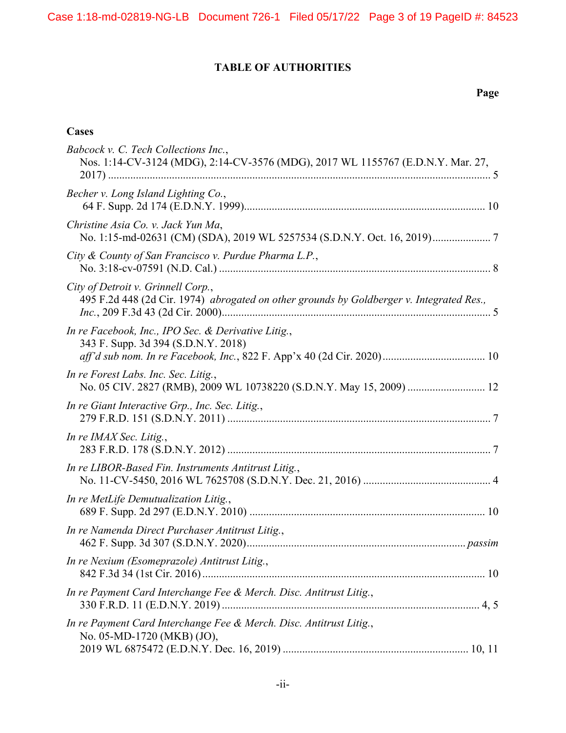# **TABLE OF AUTHORITIES**

## **Page**

# **Cases**

| Babcock v. C. Tech Collections Inc.,<br>Nos. 1:14-CV-3124 (MDG), 2:14-CV-3576 (MDG), 2017 WL 1155767 (E.D.N.Y. Mar. 27,        |
|--------------------------------------------------------------------------------------------------------------------------------|
| Becher v. Long Island Lighting Co.,                                                                                            |
| Christine Asia Co. v. Jack Yun Ma,                                                                                             |
| City & County of San Francisco v. Purdue Pharma L.P.,                                                                          |
| City of Detroit v. Grinnell Corp.,<br>495 F.2d 448 (2d Cir. 1974) abrogated on other grounds by Goldberger v. Integrated Res., |
| In re Facebook, Inc., IPO Sec. & Derivative Litig.,<br>343 F. Supp. 3d 394 (S.D.N.Y. 2018)                                     |
| In re Forest Labs. Inc. Sec. Litig.,<br>No. 05 CIV. 2827 (RMB), 2009 WL 10738220 (S.D.N.Y. May 15, 2009)  12                   |
| In re Giant Interactive Grp., Inc. Sec. Litig.,                                                                                |
| In re IMAX Sec. Litig.,                                                                                                        |
| In re LIBOR-Based Fin. Instruments Antitrust Litig.,                                                                           |
| In re MetLife Demutualization Litig.,                                                                                          |
| In re Namenda Direct Purchaser Antitrust Litig.,                                                                               |
| In re Nexium (Esomeprazole) Antitrust Litig.,                                                                                  |
| In re Payment Card Interchange Fee & Merch. Disc. Antitrust Litig.,                                                            |
| In re Payment Card Interchange Fee & Merch. Disc. Antitrust Litig.,<br>No. 05-MD-1720 (MKB) (JO),                              |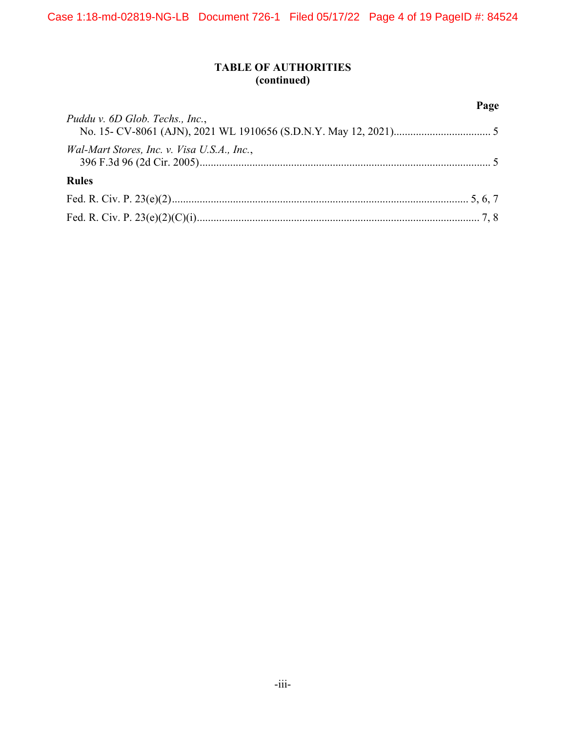# **TABLE OF AUTHORITIES (continued)**

|                                             | Page |
|---------------------------------------------|------|
| Puddu v. 6D Glob. Techs., Inc.,             |      |
| Wal-Mart Stores, Inc. v. Visa U.S.A., Inc., |      |
| <b>Rules</b>                                |      |
|                                             |      |
|                                             |      |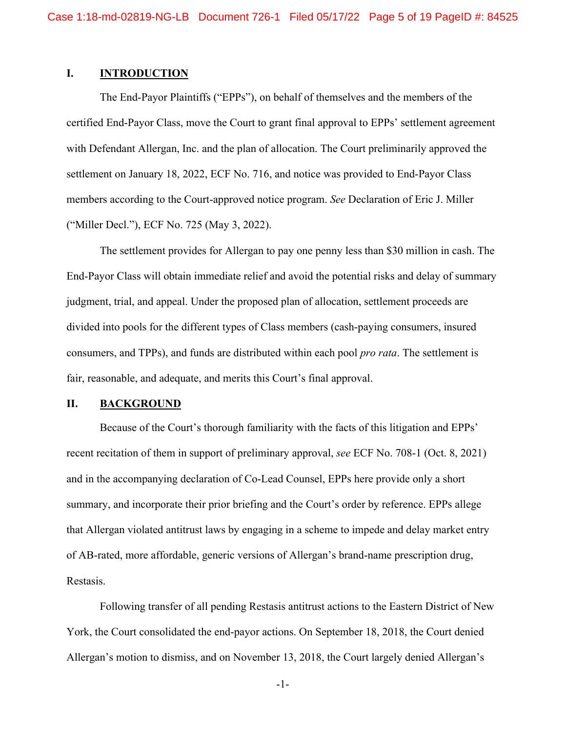## **I. INTRODUCTION**

The End-Payor Plaintiffs ("EPPs"), on behalf of themselves and the members of the certified End-Payor Class, move the Court to grant final approval to EPPs' settlement agreement with Defendant Allergan, Inc. and the plan of allocation. The Court preliminarily approved the settlement on January 18, 2022, ECF No. 716, and notice was provided to End-Payor Class members according to the Court-approved notice program. *See* Declaration of Eric J. Miller ("Miller Decl."), ECF No. 725 (May 3, 2022).

The settlement provides for Allergan to pay one penny less than \$30 million in cash. The End-Payor Class will obtain immediate relief and avoid the potential risks and delay of summary judgment, trial, and appeal. Under the proposed plan of allocation, settlement proceeds are divided into pools for the different types of Class members (cash-paying consumers, insured consumers, and TPPs), and funds are distributed within each pool *pro rata*. The settlement is fair, reasonable, and adequate, and merits this Court's final approval.

#### **II. BACKGROUND**

Because of the Court's thorough familiarity with the facts of this litigation and EPPs' recent recitation of them in support of preliminary approval, *see* ECF No. 708-1 (Oct. 8, 2021) and in the accompanying declaration of Co-Lead Counsel, EPPs here provide only a short summary, and incorporate their prior briefing and the Court's order by reference. EPPs allege that Allergan violated antitrust laws by engaging in a scheme to impede and delay market entry of AB-rated, more affordable, generic versions of Allergan's brand-name prescription drug, Restasis.

Following transfer of all pending Restasis antitrust actions to the Eastern District of New York, the Court consolidated the end-payor actions. On September 18, 2018, the Court denied Allergan's motion to dismiss, and on November 13, 2018, the Court largely denied Allergan's

-1-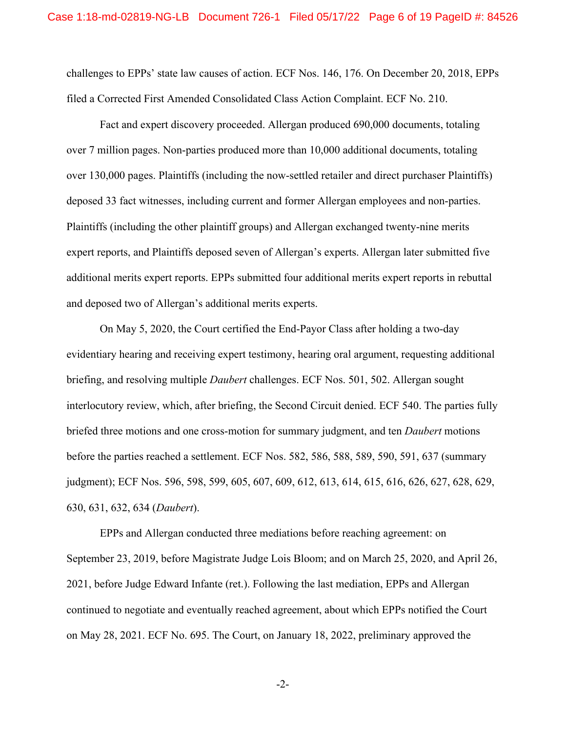challenges to EPPs' state law causes of action. ECF Nos. 146, 176. On December 20, 2018, EPPs filed a Corrected First Amended Consolidated Class Action Complaint. ECF No. 210.

Fact and expert discovery proceeded. Allergan produced 690,000 documents, totaling over 7 million pages. Non-parties produced more than 10,000 additional documents, totaling over 130,000 pages. Plaintiffs (including the now-settled retailer and direct purchaser Plaintiffs) deposed 33 fact witnesses, including current and former Allergan employees and non-parties. Plaintiffs (including the other plaintiff groups) and Allergan exchanged twenty-nine merits expert reports, and Plaintiffs deposed seven of Allergan's experts. Allergan later submitted five additional merits expert reports. EPPs submitted four additional merits expert reports in rebuttal and deposed two of Allergan's additional merits experts.

On May 5, 2020, the Court certified the End-Payor Class after holding a two-day evidentiary hearing and receiving expert testimony, hearing oral argument, requesting additional briefing, and resolving multiple *Daubert* challenges. ECF Nos. 501, 502. Allergan sought interlocutory review, which, after briefing, the Second Circuit denied. ECF 540. The parties fully briefed three motions and one cross-motion for summary judgment, and ten *Daubert* motions before the parties reached a settlement. ECF Nos. 582, 586, 588, 589, 590, 591, 637 (summary judgment); ECF Nos. 596, 598, 599, 605, 607, 609, 612, 613, 614, 615, 616, 626, 627, 628, 629, 630, 631, 632, 634 (*Daubert*).

EPPs and Allergan conducted three mediations before reaching agreement: on September 23, 2019, before Magistrate Judge Lois Bloom; and on March 25, 2020, and April 26, 2021, before Judge Edward Infante (ret.). Following the last mediation, EPPs and Allergan continued to negotiate and eventually reached agreement, about which EPPs notified the Court on May 28, 2021. ECF No. 695. The Court, on January 18, 2022, preliminary approved the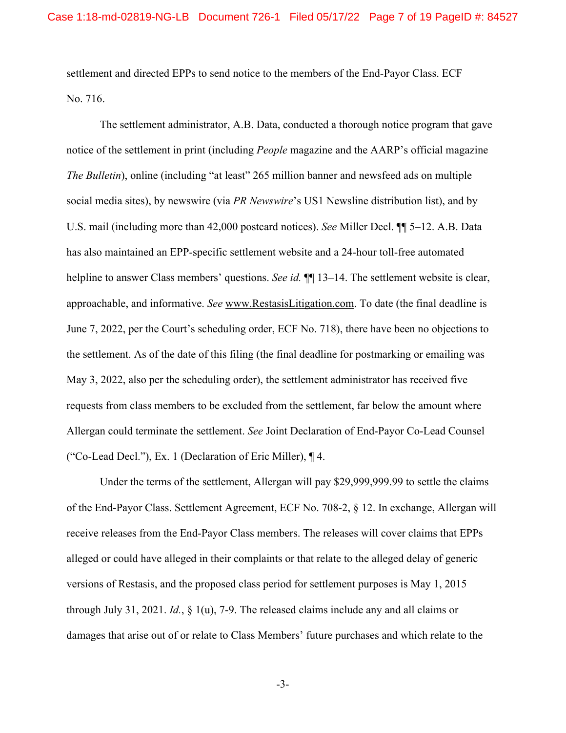settlement and directed EPPs to send notice to the members of the End-Payor Class. ECF No. 716.

The settlement administrator, A.B. Data, conducted a thorough notice program that gave notice of the settlement in print (including *People* magazine and the AARP's official magazine *The Bulletin*), online (including "at least" 265 million banner and newsfeed ads on multiple social media sites), by newswire (via *PR Newswire*'s US1 Newsline distribution list), and by U.S. mail (including more than 42,000 postcard notices). *See* Miller Decl. ¶¶ 5–12. A.B. Data has also maintained an EPP-specific settlement website and a 24-hour toll-free automated helpline to answer Class members' questions. *See id.*  $\P$  13–14. The settlement website is clear, approachable, and informative. *See* www.RestasisLitigation.com. To date (the final deadline is June 7, 2022, per the Court's scheduling order, ECF No. 718), there have been no objections to the settlement. As of the date of this filing (the final deadline for postmarking or emailing was May 3, 2022, also per the scheduling order), the settlement administrator has received five requests from class members to be excluded from the settlement, far below the amount where Allergan could terminate the settlement. *See* Joint Declaration of End-Payor Co-Lead Counsel ("Co-Lead Decl."), Ex. 1 (Declaration of Eric Miller), ¶ 4.

Under the terms of the settlement, Allergan will pay \$29,999,999.99 to settle the claims of the End-Payor Class. Settlement Agreement, ECF No. 708-2, § 12. In exchange, Allergan will receive releases from the End-Payor Class members. The releases will cover claims that EPPs alleged or could have alleged in their complaints or that relate to the alleged delay of generic versions of Restasis, and the proposed class period for settlement purposes is May 1, 2015 through July 31, 2021. *Id.*, § 1(u), 7-9. The released claims include any and all claims or damages that arise out of or relate to Class Members' future purchases and which relate to the

-3-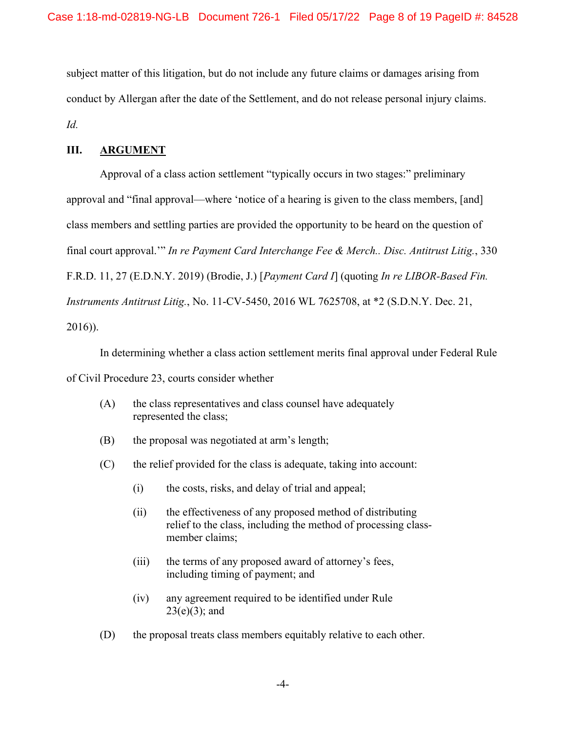subject matter of this litigation, but do not include any future claims or damages arising from conduct by Allergan after the date of the Settlement, and do not release personal injury claims. *Id.*

## **III. ARGUMENT**

Approval of a class action settlement "typically occurs in two stages:" preliminary approval and "final approval—where 'notice of a hearing is given to the class members, [and] class members and settling parties are provided the opportunity to be heard on the question of final court approval.'" *In re Payment Card Interchange Fee & Merch.. Disc. Antitrust Litig.*, 330 F.R.D. 11, 27 (E.D.N.Y. 2019) (Brodie, J.) [*Payment Card I*] (quoting *In re LIBOR-Based Fin. Instruments Antitrust Litig.*, No. 11-CV-5450, 2016 WL 7625708, at \*2 (S.D.N.Y. Dec. 21, 2016)).

In determining whether a class action settlement merits final approval under Federal Rule of Civil Procedure 23, courts consider whether

- (A) the class representatives and class counsel have adequately represented the class;
- (B) the proposal was negotiated at arm's length;
- (C) the relief provided for the class is adequate, taking into account:
	- (i) the costs, risks, and delay of trial and appeal;
	- (ii) the effectiveness of any proposed method of distributing relief to the class, including the method of processing classmember claims;
	- (iii) the terms of any proposed award of attorney's fees, including timing of payment; and
	- (iv) any agreement required to be identified under Rule  $23(e)(3)$ ; and
- (D) the proposal treats class members equitably relative to each other.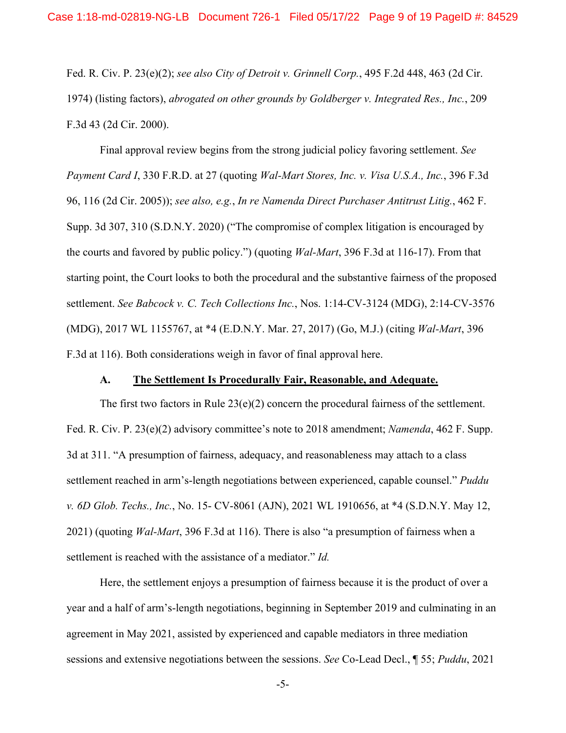Fed. R. Civ. P. 23(e)(2); *see also City of Detroit v. Grinnell Corp.*, 495 F.2d 448, 463 (2d Cir. 1974) (listing factors), *abrogated on other grounds by Goldberger v. Integrated Res., Inc.*, 209 F.3d 43 (2d Cir. 2000).

Final approval review begins from the strong judicial policy favoring settlement. *See Payment Card I*, 330 F.R.D. at 27 (quoting *Wal-Mart Stores, Inc. v. Visa U.S.A., Inc.*, 396 F.3d 96, 116 (2d Cir. 2005)); *see also, e.g.*, *In re Namenda Direct Purchaser Antitrust Litig.*, 462 F. Supp. 3d 307, 310 (S.D.N.Y. 2020) ("The compromise of complex litigation is encouraged by the courts and favored by public policy.") (quoting *Wal-Mart*, 396 F.3d at 116-17). From that starting point, the Court looks to both the procedural and the substantive fairness of the proposed settlement. *See Babcock v. C. Tech Collections Inc.*, Nos. 1:14-CV-3124 (MDG), 2:14-CV-3576 (MDG), 2017 WL 1155767, at \*4 (E.D.N.Y. Mar. 27, 2017) (Go, M.J.) (citing *Wal-Mart*, 396 F.3d at 116). Both considerations weigh in favor of final approval here.

## **A. The Settlement Is Procedurally Fair, Reasonable, and Adequate.**

The first two factors in Rule  $23(e)(2)$  concern the procedural fairness of the settlement. Fed. R. Civ. P. 23(e)(2) advisory committee's note to 2018 amendment; *Namenda*, 462 F. Supp. 3d at 311. "A presumption of fairness, adequacy, and reasonableness may attach to a class settlement reached in arm's-length negotiations between experienced, capable counsel." *Puddu v. 6D Glob. Techs., Inc.*, No. 15- CV-8061 (AJN), 2021 WL 1910656, at \*4 (S.D.N.Y. May 12, 2021) (quoting *Wal-Mart*, 396 F.3d at 116). There is also "a presumption of fairness when a settlement is reached with the assistance of a mediator." *Id.*

Here, the settlement enjoys a presumption of fairness because it is the product of over a year and a half of arm's-length negotiations, beginning in September 2019 and culminating in an agreement in May 2021, assisted by experienced and capable mediators in three mediation sessions and extensive negotiations between the sessions. *See* Co-Lead Decl., ¶ 55; *Puddu*, 2021

-5-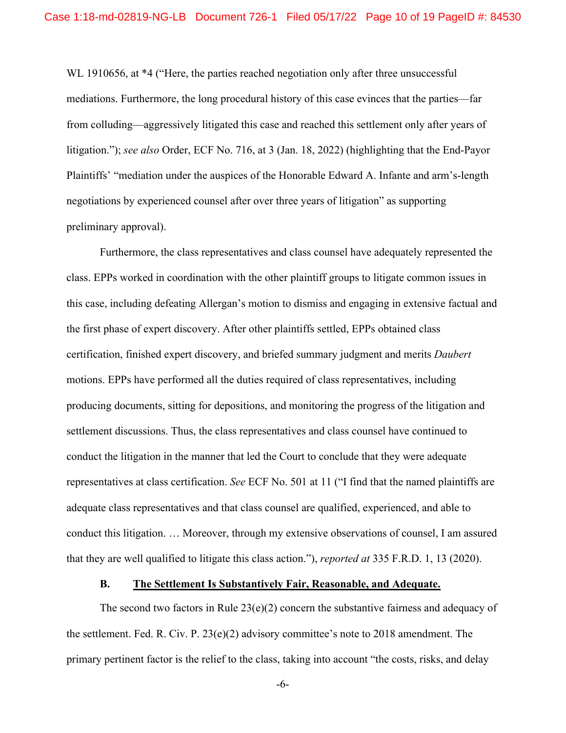WL 1910656, at \*4 ("Here, the parties reached negotiation only after three unsuccessful mediations. Furthermore, the long procedural history of this case evinces that the parties—far from colluding—aggressively litigated this case and reached this settlement only after years of litigation."); *see also* Order, ECF No. 716, at 3 (Jan. 18, 2022) (highlighting that the End-Payor Plaintiffs' "mediation under the auspices of the Honorable Edward A. Infante and arm's-length negotiations by experienced counsel after over three years of litigation" as supporting preliminary approval).

Furthermore, the class representatives and class counsel have adequately represented the class. EPPs worked in coordination with the other plaintiff groups to litigate common issues in this case, including defeating Allergan's motion to dismiss and engaging in extensive factual and the first phase of expert discovery. After other plaintiffs settled, EPPs obtained class certification, finished expert discovery, and briefed summary judgment and merits *Daubert* motions. EPPs have performed all the duties required of class representatives, including producing documents, sitting for depositions, and monitoring the progress of the litigation and settlement discussions. Thus, the class representatives and class counsel have continued to conduct the litigation in the manner that led the Court to conclude that they were adequate representatives at class certification. *See* ECF No. 501 at 11 ("I find that the named plaintiffs are adequate class representatives and that class counsel are qualified, experienced, and able to conduct this litigation. … Moreover, through my extensive observations of counsel, I am assured that they are well qualified to litigate this class action."), *reported at* 335 F.R.D. 1, 13 (2020).

## **B. The Settlement Is Substantively Fair, Reasonable, and Adequate.**

The second two factors in Rule  $23(e)(2)$  concern the substantive fairness and adequacy of the settlement. Fed. R. Civ. P. 23(e)(2) advisory committee's note to 2018 amendment. The primary pertinent factor is the relief to the class, taking into account "the costs, risks, and delay

-6-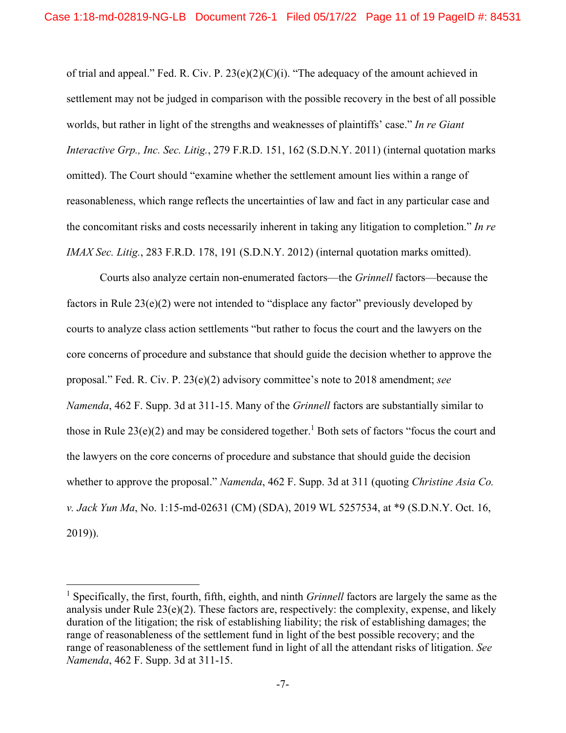of trial and appeal." Fed. R. Civ. P. 23(e)(2)(C)(i). "The adequacy of the amount achieved in settlement may not be judged in comparison with the possible recovery in the best of all possible worlds, but rather in light of the strengths and weaknesses of plaintiffs' case." *In re Giant Interactive Grp., Inc. Sec. Litig.*, 279 F.R.D. 151, 162 (S.D.N.Y. 2011) (internal quotation marks omitted). The Court should "examine whether the settlement amount lies within a range of reasonableness, which range reflects the uncertainties of law and fact in any particular case and the concomitant risks and costs necessarily inherent in taking any litigation to completion." *In re IMAX Sec. Litig.*, 283 F.R.D. 178, 191 (S.D.N.Y. 2012) (internal quotation marks omitted).

Courts also analyze certain non-enumerated factors—the *Grinnell* factors—because the factors in Rule 23(e)(2) were not intended to "displace any factor" previously developed by courts to analyze class action settlements "but rather to focus the court and the lawyers on the core concerns of procedure and substance that should guide the decision whether to approve the proposal." Fed. R. Civ. P. 23(e)(2) advisory committee's note to 2018 amendment; *see Namenda*, 462 F. Supp. 3d at 311-15. Many of the *Grinnell* factors are substantially similar to those in Rule  $23(e)(2)$  and may be considered together.<sup>1</sup> Both sets of factors "focus the court and the lawyers on the core concerns of procedure and substance that should guide the decision whether to approve the proposal." *Namenda*, 462 F. Supp. 3d at 311 (quoting *Christine Asia Co. v. Jack Yun Ma*, No. 1:15-md-02631 (CM) (SDA), 2019 WL 5257534, at \*9 (S.D.N.Y. Oct. 16, 2019)).

<sup>&</sup>lt;sup>1</sup> Specifically, the first, fourth, fifth, eighth, and ninth *Grinnell* factors are largely the same as the analysis under Rule  $23(e)(2)$ . These factors are, respectively: the complexity, expense, and likely duration of the litigation; the risk of establishing liability; the risk of establishing damages; the range of reasonableness of the settlement fund in light of the best possible recovery; and the range of reasonableness of the settlement fund in light of all the attendant risks of litigation. *See Namenda*, 462 F. Supp. 3d at 311-15.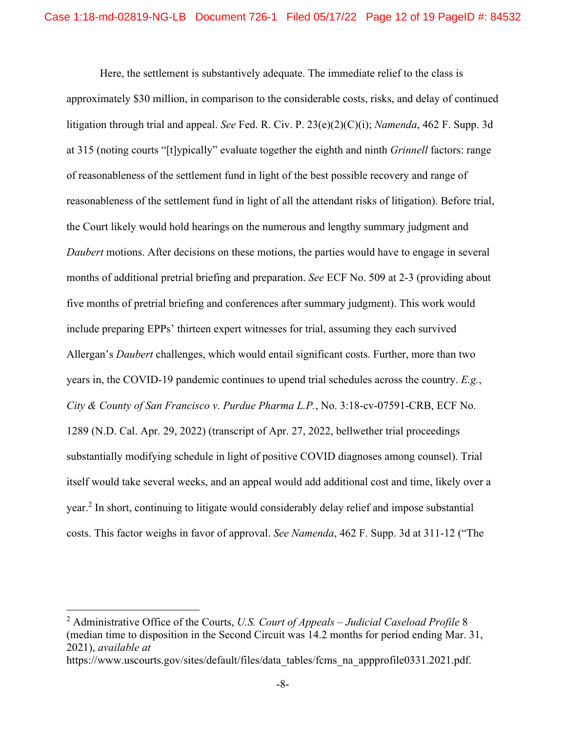Here, the settlement is substantively adequate. The immediate relief to the class is approximately \$30 million, in comparison to the considerable costs, risks, and delay of continued litigation through trial and appeal. *See* Fed. R. Civ. P. 23(e)(2)(C)(i); *Namenda*, 462 F. Supp. 3d at 315 (noting courts "[t]ypically" evaluate together the eighth and ninth *Grinnell* factors: range of reasonableness of the settlement fund in light of the best possible recovery and range of reasonableness of the settlement fund in light of all the attendant risks of litigation). Before trial, the Court likely would hold hearings on the numerous and lengthy summary judgment and *Daubert* motions. After decisions on these motions, the parties would have to engage in several months of additional pretrial briefing and preparation. *See* ECF No. 509 at 2-3 (providing about five months of pretrial briefing and conferences after summary judgment). This work would include preparing EPPs' thirteen expert witnesses for trial, assuming they each survived Allergan's *Daubert* challenges, which would entail significant costs. Further, more than two years in, the COVID-19 pandemic continues to upend trial schedules across the country. *E.g.*, *City & County of San Francisco v. Purdue Pharma L.P.*, No. 3:18-cv-07591-CRB, ECF No. 1289 (N.D. Cal. Apr. 29, 2022) (transcript of Apr. 27, 2022, bellwether trial proceedings substantially modifying schedule in light of positive COVID diagnoses among counsel). Trial itself would take several weeks, and an appeal would add additional cost and time, likely over a year.<sup>2</sup> In short, continuing to litigate would considerably delay relief and impose substantial costs. This factor weighs in favor of approval. *See Namenda*, 462 F. Supp. 3d at 311-12 ("The

https://www.uscourts.gov/sites/default/files/data\_tables/fcms\_na\_appprofile0331.2021.pdf.

<sup>2</sup> Administrative Office of the Courts, *U.S. Court of Appeals – Judicial Caseload Profile* 8 (median time to disposition in the Second Circuit was 14.2 months for period ending Mar. 31, 2021), *available at*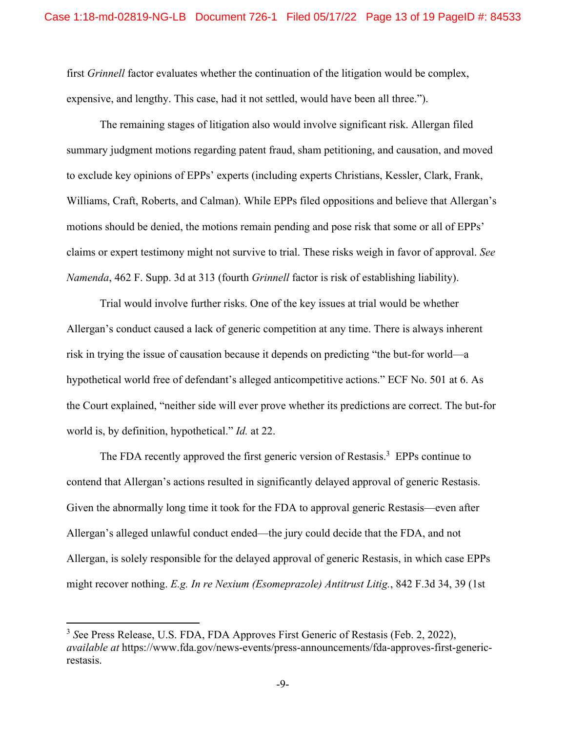first *Grinnell* factor evaluates whether the continuation of the litigation would be complex, expensive, and lengthy. This case, had it not settled, would have been all three.").

The remaining stages of litigation also would involve significant risk. Allergan filed summary judgment motions regarding patent fraud, sham petitioning, and causation, and moved to exclude key opinions of EPPs' experts (including experts Christians, Kessler, Clark, Frank, Williams, Craft, Roberts, and Calman). While EPPs filed oppositions and believe that Allergan's motions should be denied, the motions remain pending and pose risk that some or all of EPPs' claims or expert testimony might not survive to trial. These risks weigh in favor of approval. *See Namenda*, 462 F. Supp. 3d at 313 (fourth *Grinnell* factor is risk of establishing liability).

Trial would involve further risks. One of the key issues at trial would be whether Allergan's conduct caused a lack of generic competition at any time. There is always inherent risk in trying the issue of causation because it depends on predicting "the but-for world—a hypothetical world free of defendant's alleged anticompetitive actions." ECF No. 501 at 6. As the Court explained, "neither side will ever prove whether its predictions are correct. The but-for world is, by definition, hypothetical." *Id.* at 22.

The FDA recently approved the first generic version of Restasis.<sup>3</sup> EPPs continue to contend that Allergan's actions resulted in significantly delayed approval of generic Restasis. Given the abnormally long time it took for the FDA to approval generic Restasis—even after Allergan's alleged unlawful conduct ended—the jury could decide that the FDA, and not Allergan, is solely responsible for the delayed approval of generic Restasis, in which case EPPs might recover nothing. *E.g. In re Nexium (Esomeprazole) Antitrust Litig.*, 842 F.3d 34, 39 (1st

<sup>3</sup> *S*ee Press Release, U.S. FDA, FDA Approves First Generic of Restasis (Feb. 2, 2022), *available at* https://www.fda.gov/news-events/press-announcements/fda-approves-first-genericrestasis.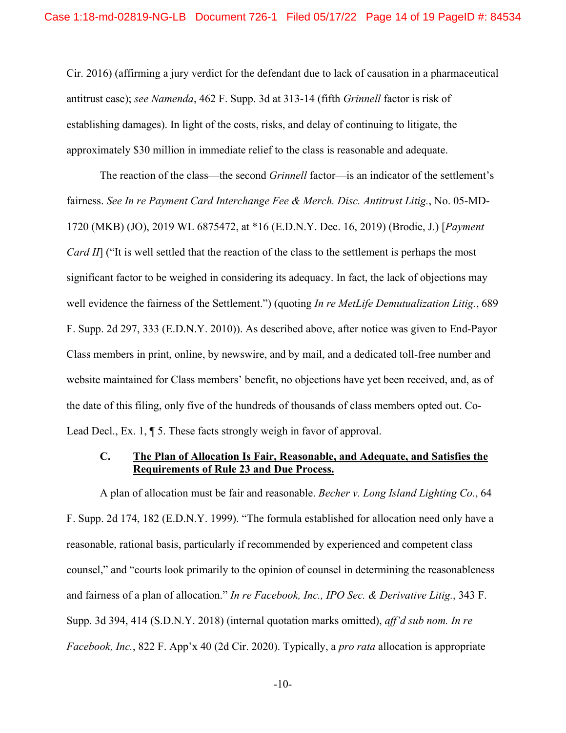Cir. 2016) (affirming a jury verdict for the defendant due to lack of causation in a pharmaceutical antitrust case); *see Namenda*, 462 F. Supp. 3d at 313-14 (fifth *Grinnell* factor is risk of establishing damages). In light of the costs, risks, and delay of continuing to litigate, the approximately \$30 million in immediate relief to the class is reasonable and adequate.

The reaction of the class—the second *Grinnell* factor—is an indicator of the settlement's fairness. *See In re Payment Card Interchange Fee & Merch. Disc. Antitrust Litig.*, No. 05-MD-1720 (MKB) (JO), 2019 WL 6875472, at \*16 (E.D.N.Y. Dec. 16, 2019) (Brodie, J.) [*Payment Card II*] ("It is well settled that the reaction of the class to the settlement is perhaps the most significant factor to be weighed in considering its adequacy. In fact, the lack of objections may well evidence the fairness of the Settlement.") (quoting *In re MetLife Demutualization Litig.*, 689 F. Supp. 2d 297, 333 (E.D.N.Y. 2010)). As described above, after notice was given to End-Payor Class members in print, online, by newswire, and by mail, and a dedicated toll-free number and website maintained for Class members' benefit, no objections have yet been received, and, as of the date of this filing, only five of the hundreds of thousands of class members opted out. Co-Lead Decl., Ex. 1, ¶ 5. These facts strongly weigh in favor of approval.

## **C. The Plan of Allocation Is Fair, Reasonable, and Adequate, and Satisfies the Requirements of Rule 23 and Due Process.**

A plan of allocation must be fair and reasonable. *Becher v. Long Island Lighting Co.*, 64 F. Supp. 2d 174, 182 (E.D.N.Y. 1999). "The formula established for allocation need only have a reasonable, rational basis, particularly if recommended by experienced and competent class counsel," and "courts look primarily to the opinion of counsel in determining the reasonableness and fairness of a plan of allocation." *In re Facebook, Inc., IPO Sec. & Derivative Litig.*, 343 F. Supp. 3d 394, 414 (S.D.N.Y. 2018) (internal quotation marks omitted), *aff'd sub nom. In re Facebook, Inc.*, 822 F. App'x 40 (2d Cir. 2020). Typically, a *pro rata* allocation is appropriate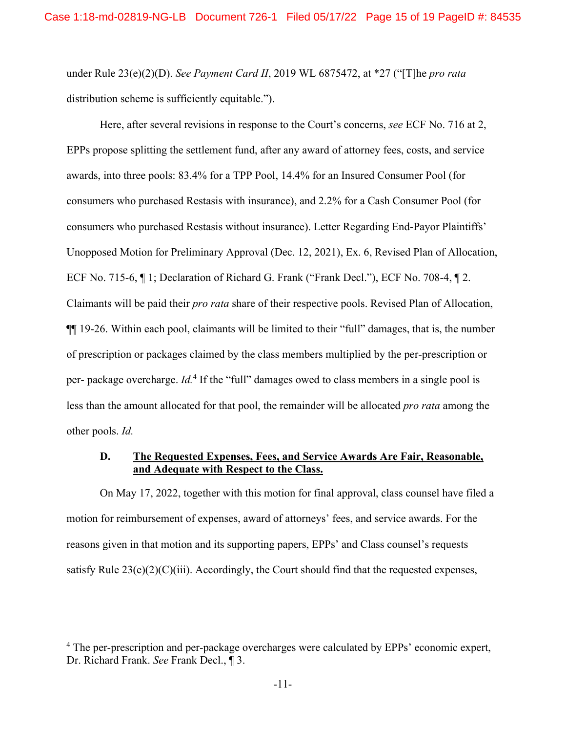under Rule 23(e)(2)(D). *See Payment Card II*, 2019 WL 6875472, at \*27 ("[T]he *pro rata* distribution scheme is sufficiently equitable.").

Here, after several revisions in response to the Court's concerns, *see* ECF No. 716 at 2, EPPs propose splitting the settlement fund, after any award of attorney fees, costs, and service awards, into three pools: 83.4% for a TPP Pool, 14.4% for an Insured Consumer Pool (for consumers who purchased Restasis with insurance), and 2.2% for a Cash Consumer Pool (for consumers who purchased Restasis without insurance). Letter Regarding End-Payor Plaintiffs' Unopposed Motion for Preliminary Approval (Dec. 12, 2021), Ex. 6, Revised Plan of Allocation, ECF No. 715-6, ¶ 1; Declaration of Richard G. Frank ("Frank Decl."), ECF No. 708-4, ¶ 2. Claimants will be paid their *pro rata* share of their respective pools. Revised Plan of Allocation, ¶¶ 19-26. Within each pool, claimants will be limited to their "full" damages, that is, the number of prescription or packages claimed by the class members multiplied by the per-prescription or per- package overcharge. *Id*.<sup>4</sup> If the "full" damages owed to class members in a single pool is less than the amount allocated for that pool, the remainder will be allocated *pro rata* among the other pools. *Id.*

## **D. The Requested Expenses, Fees, and Service Awards Are Fair, Reasonable, and Adequate with Respect to the Class.**

On May 17, 2022, together with this motion for final approval, class counsel have filed a motion for reimbursement of expenses, award of attorneys' fees, and service awards. For the reasons given in that motion and its supporting papers, EPPs' and Class counsel's requests satisfy Rule  $23(e)(2)(C)(iii)$ . Accordingly, the Court should find that the requested expenses,

<sup>&</sup>lt;sup>4</sup> The per-prescription and per-package overcharges were calculated by EPPs' economic expert, Dr. Richard Frank. *See* Frank Decl., ¶ 3.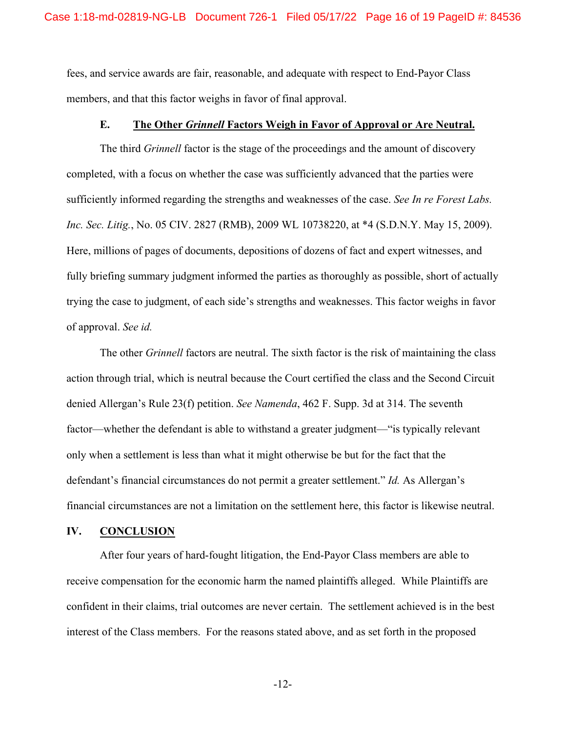fees, and service awards are fair, reasonable, and adequate with respect to End-Payor Class members, and that this factor weighs in favor of final approval.

#### **E. The Other** *Grinnell* **Factors Weigh in Favor of Approval or Are Neutral.**

The third *Grinnell* factor is the stage of the proceedings and the amount of discovery completed, with a focus on whether the case was sufficiently advanced that the parties were sufficiently informed regarding the strengths and weaknesses of the case. *See In re Forest Labs. Inc. Sec. Litig.*, No. 05 CIV. 2827 (RMB), 2009 WL 10738220, at \*4 (S.D.N.Y. May 15, 2009). Here, millions of pages of documents, depositions of dozens of fact and expert witnesses, and fully briefing summary judgment informed the parties as thoroughly as possible, short of actually trying the case to judgment, of each side's strengths and weaknesses. This factor weighs in favor of approval. *See id.*

The other *Grinnell* factors are neutral. The sixth factor is the risk of maintaining the class action through trial, which is neutral because the Court certified the class and the Second Circuit denied Allergan's Rule 23(f) petition. *See Namenda*, 462 F. Supp. 3d at 314. The seventh factor—whether the defendant is able to withstand a greater judgment—"is typically relevant only when a settlement is less than what it might otherwise be but for the fact that the defendant's financial circumstances do not permit a greater settlement." *Id.* As Allergan's financial circumstances are not a limitation on the settlement here, this factor is likewise neutral.

## **IV. CONCLUSION**

After four years of hard-fought litigation, the End-Payor Class members are able to receive compensation for the economic harm the named plaintiffs alleged. While Plaintiffs are confident in their claims, trial outcomes are never certain. The settlement achieved is in the best interest of the Class members. For the reasons stated above, and as set forth in the proposed

-12-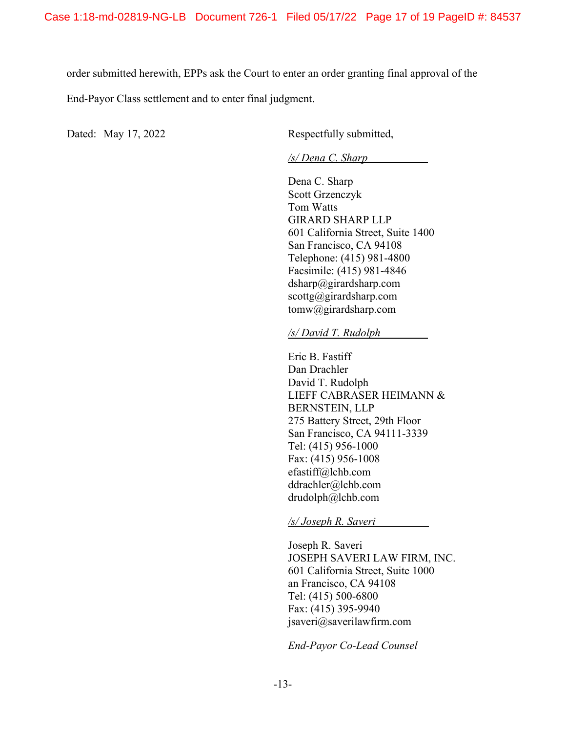order submitted herewith, EPPs ask the Court to enter an order granting final approval of the

End-Payor Class settlement and to enter final judgment.

Dated: May 17, 2022 Respectfully submitted,

*/s/ Dena C. Sharp* 

Dena C. Sharp Scott Grzenczyk Tom Watts GIRARD SHARP LLP 601 California Street, Suite 1400 San Francisco, CA 94108 Telephone: (415) 981-4800 Facsimile: (415) 981-4846 dsharp@girardsharp.com scottg@girardsharp.com tomw@girardsharp.com

*/s/ David T. Rudolph* 

Eric B. Fastiff Dan Drachler David T. Rudolph LIEFF CABRASER HEIMANN & BERNSTEIN, LLP 275 Battery Street, 29th Floor San Francisco, CA 94111-3339 Tel: (415) 956-1000 Fax: (415) 956-1008 efastiff@lchb.com ddrachler@lchb.com drudolph@lchb.com

*/s/ Joseph R. Saveri* 

Joseph R. Saveri JOSEPH SAVERI LAW FIRM, INC. 601 California Street, Suite 1000 an Francisco, CA 94108 Tel: (415) 500-6800 Fax: (415) 395-9940 jsaveri@saverilawfirm.com

*End-Payor Co-Lead Counsel*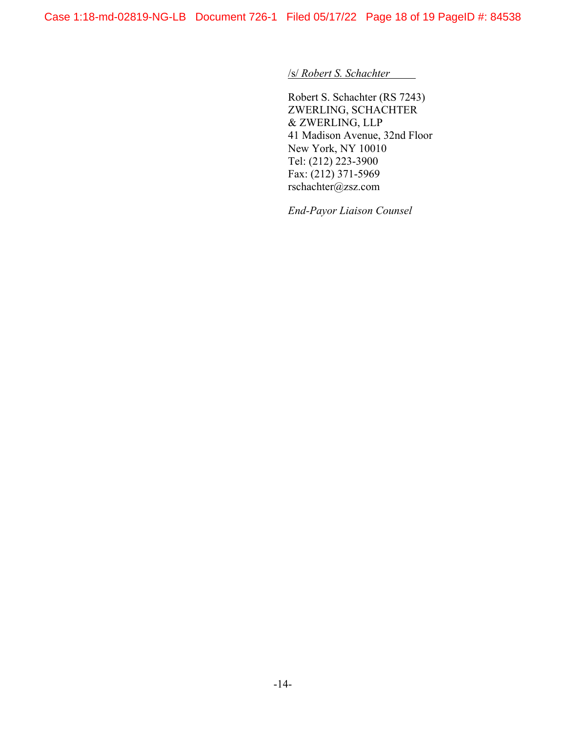/s/ *Robert S. Schachter*

Robert S. Schachter (RS 7243) ZWERLING, SCHACHTER & ZWERLING, LLP 41 Madison Avenue, 32nd Floor New York, NY 10010 Tel: (212) 223-3900 Fax: (212) 371-5969 rschachter@zsz.com

*End-Payor Liaison Counsel*